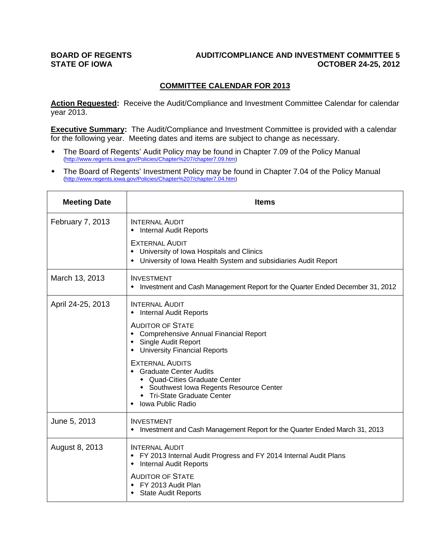#### **BOARD OF REGENTS AUDIT/COMPLIANCE AND INVESTMENT COMMITTEE 5**  STATE OF IOWA **COLLEGE OF IOWA OCTOBER 24-25, 2012**

### **COMMITTEE CALENDAR FOR 2013**

Action Requested: Receive the Audit/Compliance and Investment Committee Calendar for calendar year 2013.

**Executive Summary:** The Audit/Compliance and Investment Committee is provided with a calendar for the following year. Meeting dates and items are subject to change as necessary.

- The Board of Regents' Audit Policy may be found in Chapter 7.09 of the Policy Manual (http://www.regents.iowa.gov/Policies/Chapter%207/chapter7.09.htm)
- The Board of Regents' Investment Policy may be found in Chapter 7.04 of the Policy Manual (http://www.regents.iowa.gov/Policies/Chapter%207/chapter7.04.htm)

| <b>Meeting Date</b> | <b>Items</b>                                                                                                                                                                        |
|---------------------|-------------------------------------------------------------------------------------------------------------------------------------------------------------------------------------|
| February 7, 2013    | <b>INTERNAL AUDIT</b><br>• Internal Audit Reports                                                                                                                                   |
|                     | <b>EXTERNAL AUDIT</b><br>• University of Iowa Hospitals and Clinics<br>• University of Iowa Health System and subsidiaries Audit Report                                             |
| March 13, 2013      | <b>INVESTMENT</b><br>Investment and Cash Management Report for the Quarter Ended December 31, 2012                                                                                  |
| April 24-25, 2013   | <b>INTERNAL AUDIT</b><br>• Internal Audit Reports                                                                                                                                   |
|                     | <b>AUDITOR OF STATE</b><br>• Comprehensive Annual Financial Report<br>• Single Audit Report<br>• University Financial Reports                                                       |
|                     | <b>EXTERNAL AUDITS</b><br>• Graduate Center Audits<br>• Quad-Cities Graduate Center<br>• Southwest Iowa Regents Resource Center<br>• Tri-State Graduate Center<br>Iowa Public Radio |
| June 5, 2013        | <b>INVESTMENT</b><br>• Investment and Cash Management Report for the Quarter Ended March 31, 2013                                                                                   |
| August 8, 2013      | <b>INTERNAL AUDIT</b><br>• FY 2013 Internal Audit Progress and FY 2014 Internal Audit Plans<br><b>Internal Audit Reports</b>                                                        |
|                     | <b>AUDITOR OF STATE</b><br>• FY 2013 Audit Plan<br>• State Audit Reports                                                                                                            |